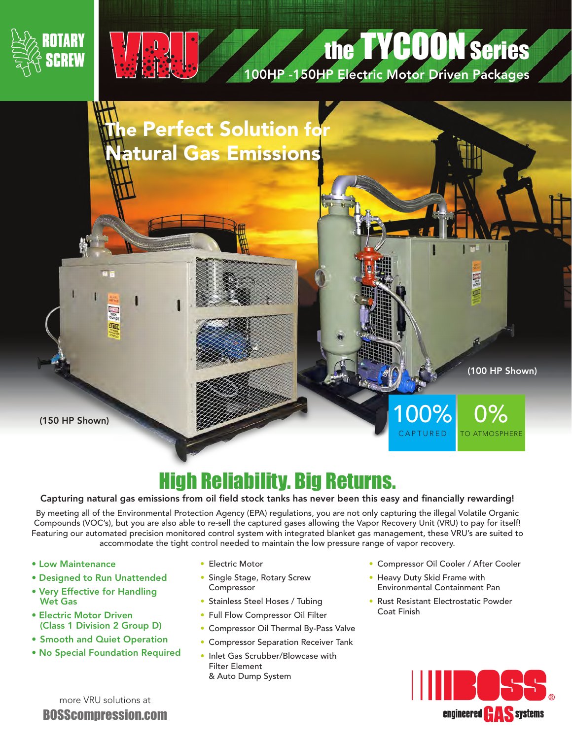



## the TYCOON Series

100HP -150HP Electric Motor Driven Packages



## High Reliability. Big Returns.

## Capturing natural gas emissions from oil field stock tanks has never been this easy and financially rewarding!

By meeting all of the Environmental Protection Agency (EPA) regulations, you are not only capturing the illegal Volatile Organic Compounds (VOC's), but you are also able to re-sell the captured gases allowing the Vapor Recovery Unit (VRU) to pay for itself! Featuring our automated precision monitored control system with integrated blanket gas management, these VRU's are suited to accommodate the tight control needed to maintain the low pressure range of vapor recovery.

- Low Maintenance
- Designed to Run Unattended
- Very Effective for Handling Wet Gas
- Electric Motor Driven (Class 1 Division 2 Group D)
- Smooth and Quiet Operation
- No Special Foundation Required
- Electric Motor
- Single Stage, Rotary Screw Compressor
- Stainless Steel Hoses / Tubing
- Full Flow Compressor Oil Filter
- Compressor Oil Thermal By-Pass Valve
- Compressor Separation Receiver Tank
- Inlet Gas Scrubber/Blowcase with Filter Element & Auto Dump System
- Compressor Oil Cooler / After Cooler
- Heavy Duty Skid Frame with Environmental Containment Pan
- Rust Resistant Electrostatic Powder Coat Finish



more VRU solutions at BOSScompression.com